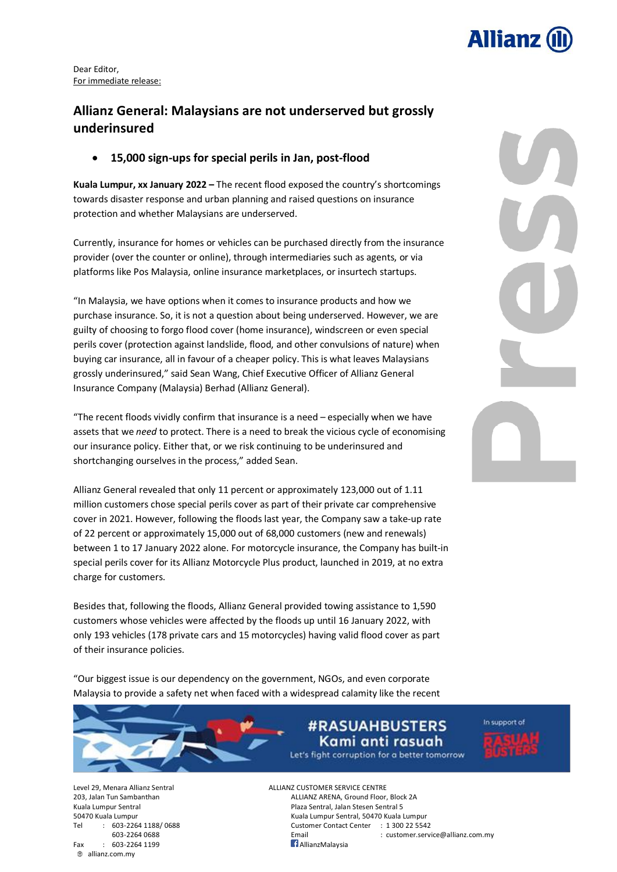

Dear Editor, For immediate release:

### **Allianz General: Malaysians are not underserved but grossly underinsured**

• **15,000 sign-ups for special perils in Jan, post-flood**

**Kuala Lumpur, xx January 2022 –** The recent flood exposed the country's shortcomings towards disaster response and urban planning and raised questions on insurance protection and whether Malaysians are underserved.

Currently, insurance for homes or vehicles can be purchased directly from the insurance provider (over the counter or online), through intermediaries such as agents, or via platforms like Pos Malaysia, online insurance marketplaces, or insurtech startups.

"In Malaysia, we have options when it comes to insurance products and how we purchase insurance. So, it is not a question about being underserved. However, we are guilty of choosing to forgo flood cover (home insurance), windscreen or even special perils cover (protection against landslide, flood, and other convulsions of nature) when buying car insurance, all in favour of a cheaper policy. This is what leaves Malaysians grossly underinsured," said Sean Wang, Chief Executive Officer of Allianz General Insurance Company (Malaysia) Berhad (Allianz General).

"The recent floods vividly confirm that insurance is a need – especially when we have assets that we *need* to protect. There is a need to break the vicious cycle of economising our insurance policy. Either that, or we risk continuing to be underinsured and shortchanging ourselves in the process," added Sean.

Allianz General revealed that only 11 percent or approximately 123,000 out of 1.11 million customers chose special perils cover as part of their private car comprehensive cover in 2021. However, following the floods last year, the Company saw a take-up rate of 22 percent or approximately 15,000 out of 68,000 customers (new and renewals) between 1 to 17 January 2022 alone. For motorcycle insurance, the Company has built-in special perils cover for its Allianz Motorcycle Plus product, launched in 2019, at no extra charge for customers.

Besides that, following the floods, Allianz General provided towing assistance to 1,590 customers whose vehicles were affected by the floods up until 16 January 2022, with only 193 vehicles (178 private cars and 15 motorcycles) having valid flood cover as part of their insurance policies.

"Our biggest issue is our dependency on the government, NGOs, and even corporate Malaysia to provide a safety net when faced with a widespread calamity like the recent

Fax : 603-2264 1199 **AllianzMalaysia** allianz.com.my

## **#RASUAHBUSTERS** Kami anti rasuah

Let's fight corruption for a better tomorrow

In support of

Level 29, Menara Allianz Sentral ALLIANZ CUSTOMER SERVICE CENTRE 203, Jalan Tun Sambanthan ALLIANZ ARENA, Ground Floor, Block 2A Kuala Lumpur Sentral **Plaza Sentral, Jalan Stesen Sentral 5** 50470 Kuala Lumpur Kuala Lumpur Sentral, 50470 Kuala Lumpur Tel : 603-2264 1188/ 0688 Customer Contact Center : 1 300 22 5542 603-2264 0688 Email : customer.service@allianz.com.my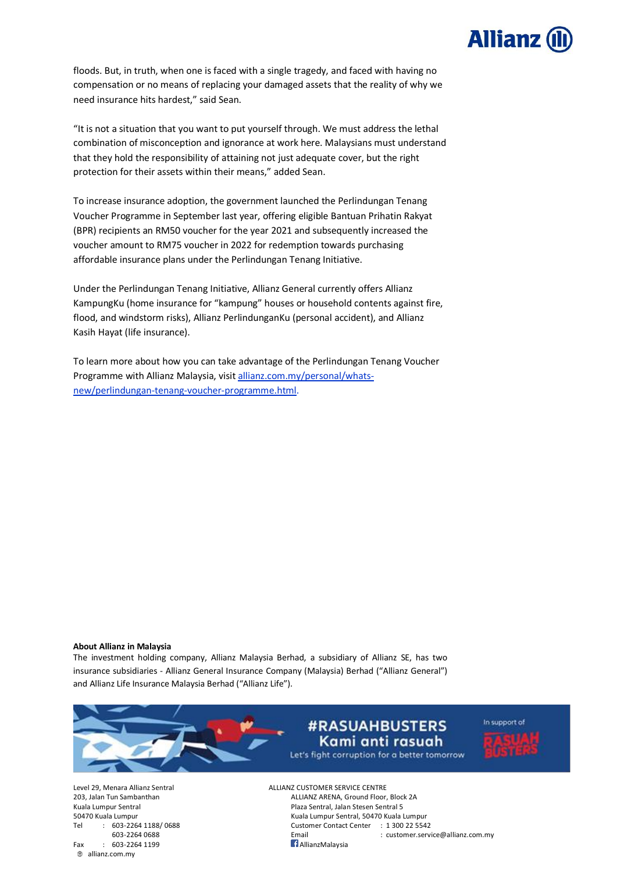

floods. But, in truth, when one is faced with a single tragedy, and faced with having no compensation or no means of replacing your damaged assets that the reality of why we need insurance hits hardest," said Sean.

"It is not a situation that you want to put yourself through. We must address the lethal combination of misconception and ignorance at work here. Malaysians must understand that they hold the responsibility of attaining not just adequate cover, but the right protection for their assets within their means," added Sean.

To increase insurance adoption, the government launched the Perlindungan Tenang Voucher Programme in September last year, offering eligible Bantuan Prihatin Rakyat (BPR) recipients an RM50 voucher for the year 2021 and subsequently increased the voucher amount to RM75 voucher in 2022 for redemption towards purchasing affordable insurance plans under the Perlindungan Tenang Initiative.

Under the Perlindungan Tenang Initiative, Allianz General currently offers Allianz KampungKu (home insurance for "kampung" houses or household contents against fire, flood, and windstorm risks), Allianz PerlindunganKu (personal accident), and Allianz Kasih Hayat (life insurance).

To learn more about how you can take advantage of the Perlindungan Tenang Voucher Programme with Allianz Malaysia, visit [allianz.com.my/personal/whats](https://www.allianz.com.my/personal/whats-new/perlindungan-tenang-voucher-programme.html)[new/perlindungan-tenang-voucher-programme.html.](https://www.allianz.com.my/personal/whats-new/perlindungan-tenang-voucher-programme.html)

#### **About Allianz in Malaysia**

The investment holding company, Allianz Malaysia Berhad, a subsidiary of Allianz SE, has two insurance subsidiaries - Allianz General Insurance Company (Malaysia) Berhad ("Allianz General") and Allianz Life Insurance Malaysia Berhad ("Allianz Life").



Fax : 603-2264 1199 **AllianzMalaysia** allianz.com.my

Level 29, Menara Allianz Sentral ALLIANZ CUSTOMER SERVICE CENTRE 203, Jalan Tun Sambanthan ALLIANZ ARENA, Ground Floor, Block 2A Kuala Lumpur Sentral **Plaza Sentral Sentral Sentral Sentral Sentral Sentral Sentral Sentral Sentral S** 50470 Kuala Lumpur Kuala Lumpur Sentral, 50470 Kuala Lumpur Tel : 603-2264 1188/ 0688 Customer Contact Center : 1 300 22 5542

603-2264 0688 Email : customer.service@allianz.com.my